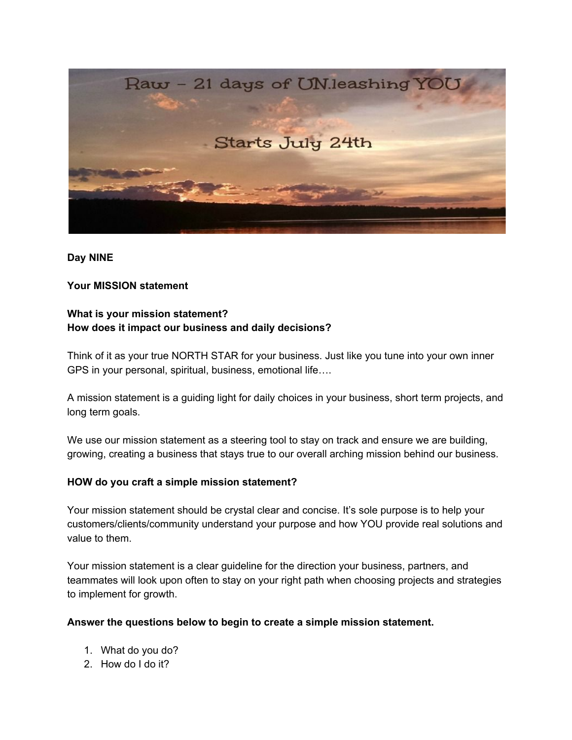

#### **Day NINE**

### **Your MISSION statement**

## **What is your mission statement? How does it impact our business and daily decisions?**

Think of it as your true NORTH STAR for your business. Just like you tune into your own inner GPS in your personal, spiritual, business, emotional life….

A mission statement is a guiding light for daily choices in your business, short term projects, and long term goals.

We use our mission statement as a steering tool to stay on track and ensure we are building, growing, creating a business that stays true to our overall arching mission behind our business.

### **HOW do you craft a simple mission statement?**

Your mission statement should be crystal clear and concise. It's sole purpose is to help your customers/clients/community understand your purpose and how YOU provide real solutions and value to them.

Your mission statement is a clear guideline for the direction your business, partners, and teammates will look upon often to stay on your right path when choosing projects and strategies to implement for growth.

### **Answer the questions below to begin to create a simple mission statement.**

- 1. What do you do?
- 2. How do I do it?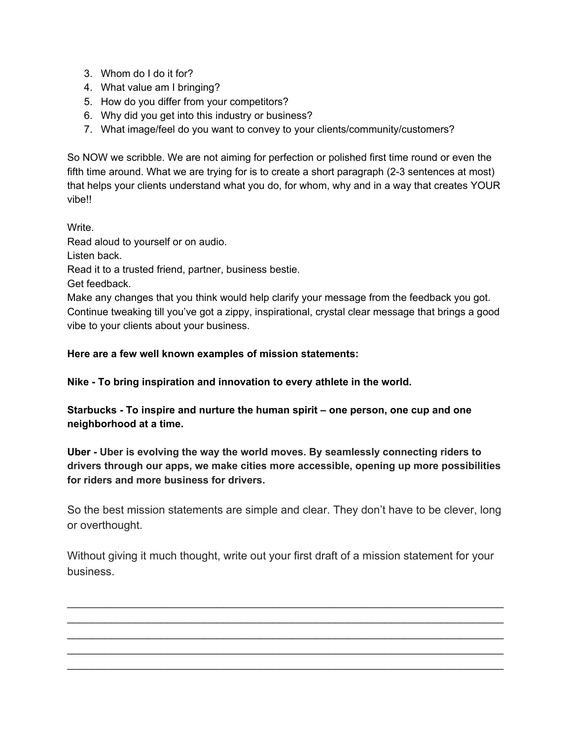- 3. Whom do I do it for?
- 4. What value am I bringing?
- 5. How do you differ from your competitors?
- 6. Why did you get into this industry or business?
- 7. What image/feel do you want to convey to your clients/community/customers?

So NOW we scribble. We are not aiming for perfection or polished first time round or even the fifth time around. What we are trying for is to create a short paragraph (2-3 sentences at most) that helps your clients understand what you do, for whom, why and in a way that creates YOUR vibe!!

Write.

Read aloud to yourself or on audio.

Listen back.

Read it to a trusted friend, partner, business bestie.

Get feedback.

Make any changes that you think would help clarify your message from the feedback you got. Continue tweaking till you've got a zippy, inspirational, crystal clear message that brings a good vibe to your clients about your business.

## **Here are a few well known examples of mission statements:**

**Nike - To bring inspiration and innovation to every athlete in the world.**

**Starbucks - To inspire and nurture the human spirit – one person, one cup and one neighborhood at a time.**

**Uber - Uber is evolving the way the world moves. By seamlessly connecting riders to drivers through our apps, we make cities more accessible, opening up more possibilities for riders and more business for drivers.**

So the best mission statements are simple and clear. They don't have to be clever, long or overthought.

Without giving it much thought, write out your first draft of a mission statement for your business.

\_\_\_\_\_\_\_\_\_\_\_\_\_\_\_\_\_\_\_\_\_\_\_\_\_\_\_\_\_\_\_\_\_\_\_\_\_\_\_\_\_\_\_\_\_\_\_\_\_\_\_\_\_\_\_\_\_\_\_\_\_\_\_\_\_\_\_\_\_\_ \_\_\_\_\_\_\_\_\_\_\_\_\_\_\_\_\_\_\_\_\_\_\_\_\_\_\_\_\_\_\_\_\_\_\_\_\_\_\_\_\_\_\_\_\_\_\_\_\_\_\_\_\_\_\_\_\_\_\_\_\_\_\_\_\_\_\_\_\_\_ \_\_\_\_\_\_\_\_\_\_\_\_\_\_\_\_\_\_\_\_\_\_\_\_\_\_\_\_\_\_\_\_\_\_\_\_\_\_\_\_\_\_\_\_\_\_\_\_\_\_\_\_\_\_\_\_\_\_\_\_\_\_\_\_\_\_\_\_\_\_ \_\_\_\_\_\_\_\_\_\_\_\_\_\_\_\_\_\_\_\_\_\_\_\_\_\_\_\_\_\_\_\_\_\_\_\_\_\_\_\_\_\_\_\_\_\_\_\_\_\_\_\_\_\_\_\_\_\_\_\_\_\_\_\_\_\_\_\_\_\_ \_\_\_\_\_\_\_\_\_\_\_\_\_\_\_\_\_\_\_\_\_\_\_\_\_\_\_\_\_\_\_\_\_\_\_\_\_\_\_\_\_\_\_\_\_\_\_\_\_\_\_\_\_\_\_\_\_\_\_\_\_\_\_\_\_\_\_\_\_\_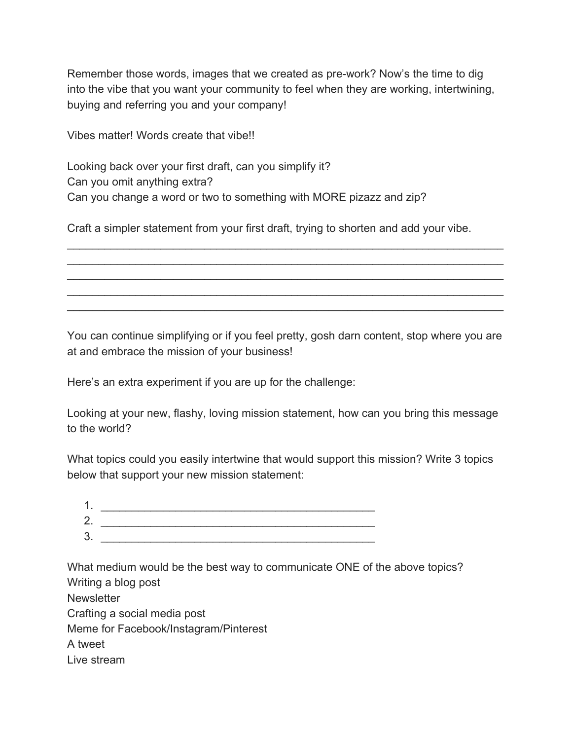Remember those words, images that we created as pre-work? Now's the time to dig into the vibe that you want your community to feel when they are working, intertwining, buying and referring you and your company!

Vibes matter! Words create that vibe!!

Looking back over your first draft, can you simplify it? Can you omit anything extra? Can you change a word or two to something with MORE pizazz and zip?

Craft a simpler statement from your first draft, trying to shorten and add your vibe.

\_\_\_\_\_\_\_\_\_\_\_\_\_\_\_\_\_\_\_\_\_\_\_\_\_\_\_\_\_\_\_\_\_\_\_\_\_\_\_\_\_\_\_\_\_\_\_\_\_\_\_\_\_\_\_\_\_\_\_\_\_\_\_\_\_\_\_\_\_\_ \_\_\_\_\_\_\_\_\_\_\_\_\_\_\_\_\_\_\_\_\_\_\_\_\_\_\_\_\_\_\_\_\_\_\_\_\_\_\_\_\_\_\_\_\_\_\_\_\_\_\_\_\_\_\_\_\_\_\_\_\_\_\_\_\_\_\_\_\_\_ \_\_\_\_\_\_\_\_\_\_\_\_\_\_\_\_\_\_\_\_\_\_\_\_\_\_\_\_\_\_\_\_\_\_\_\_\_\_\_\_\_\_\_\_\_\_\_\_\_\_\_\_\_\_\_\_\_\_\_\_\_\_\_\_\_\_\_\_\_\_ \_\_\_\_\_\_\_\_\_\_\_\_\_\_\_\_\_\_\_\_\_\_\_\_\_\_\_\_\_\_\_\_\_\_\_\_\_\_\_\_\_\_\_\_\_\_\_\_\_\_\_\_\_\_\_\_\_\_\_\_\_\_\_\_\_\_\_\_\_\_ \_\_\_\_\_\_\_\_\_\_\_\_\_\_\_\_\_\_\_\_\_\_\_\_\_\_\_\_\_\_\_\_\_\_\_\_\_\_\_\_\_\_\_\_\_\_\_\_\_\_\_\_\_\_\_\_\_\_\_\_\_\_\_\_\_\_\_\_\_\_

You can continue simplifying or if you feel pretty, gosh darn content, stop where you are at and embrace the mission of your business!

Here's an extra experiment if you are up for the challenge:

Looking at your new, flashy, loving mission statement, how can you bring this message to the world?

What topics could you easily intertwine that would support this mission? Write 3 topics below that support your new mission statement:

| ◢<br><b>I</b> . |  |
|-----------------|--|
| 2.              |  |
| 3.              |  |
|                 |  |

What medium would be the best way to communicate ONE of the above topics? Writing a blog post **Newsletter** Crafting a social media post Meme for Facebook/Instagram/Pinterest A tweet Live stream